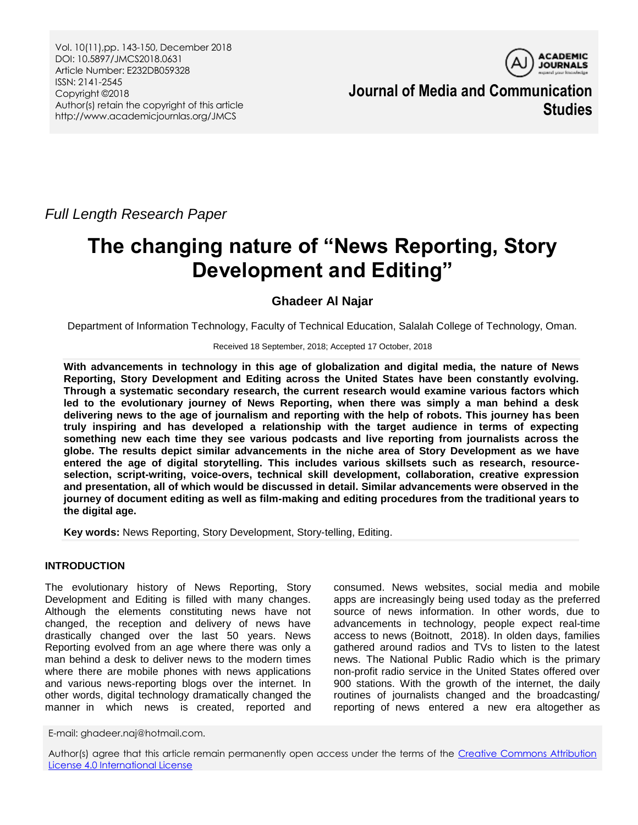

**Journal of Media and Communication Studies**

*Full Length Research Paper*

# **The changing nature of "News Reporting, Story Development and Editing"**

# **Ghadeer Al Najar**

Department of Information Technology, Faculty of Technical Education, Salalah College of Technology, Oman.

#### Received 18 September, 2018; Accepted 17 October, 2018

**With advancements in technology in this age of globalization and digital media, the nature of News Reporting, Story Development and Editing across the United States have been constantly evolving. Through a systematic secondary research, the current research would examine various factors which led to the evolutionary journey of News Reporting, when there was simply a man behind a desk delivering news to the age of journalism and reporting with the help of robots. This journey has been truly inspiring and has developed a relationship with the target audience in terms of expecting something new each time they see various podcasts and live reporting from journalists across the globe. The results depict similar advancements in the niche area of Story Development as we have entered the age of digital storytelling. This includes various skillsets such as research, resourceselection, script-writing, voice-overs, technical skill development, collaboration, creative expression and presentation, all of which would be discussed in detail. Similar advancements were observed in the journey of document editing as well as film-making and editing procedures from the traditional years to the digital age.**

**Key words:** News Reporting, Story Development, Story-telling, Editing.

### **INTRODUCTION**

The evolutionary history of News Reporting, Story Development and Editing is filled with many changes. Although the elements constituting news have not changed, the reception and delivery of news have drastically changed over the last 50 years. News Reporting evolved from an age where there was only a man behind a desk to deliver news to the modern times where there are mobile phones with news applications and various news-reporting blogs over the internet. In other words, digital technology dramatically changed the manner in which news is created, reported and

consumed. News websites, social media and mobile apps are increasingly being used today as the preferred source of news information. In other words, due to advancements in technology, people expect real-time access to news (Boitnott, 2018). In olden days, families gathered around radios and TVs to listen to the latest news. The National Public Radio which is the primary non-profit radio service in the United States offered over 900 stations. With the growth of the internet, the daily routines of journalists changed and the broadcasting/ reporting of news entered a new era altogether as

E-mail: ghadeer.naj@hotmail.com.

Author(s) agree that this article remain permanently open access under the terms of the [Creative Commons Attribution](http://creativecommons.org/licenses/by/4.0/deed.en_US)  [License 4.0 International License](http://creativecommons.org/licenses/by/4.0/deed.en_US)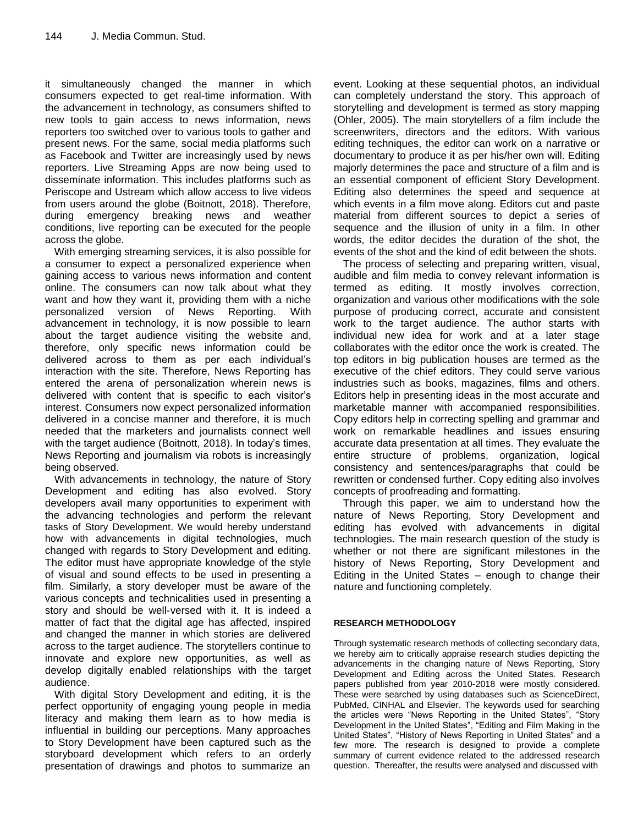it simultaneously changed the manner in which consumers expected to get real-time information. With the advancement in technology, as consumers shifted to new tools to gain access to news information, news reporters too switched over to various tools to gather and present news. For the same, social media platforms such as Facebook and Twitter are increasingly used by news reporters. Live Streaming Apps are now being used to disseminate information. This includes platforms such as Periscope and Ustream which allow access to live videos from users around the globe (Boitnott, 2018). Therefore, during emergency breaking news and weather conditions, live reporting can be executed for the people across the globe.

With emerging streaming services, it is also possible for a consumer to expect a personalized experience when gaining access to various news information and content online. The consumers can now talk about what they want and how they want it, providing them with a niche personalized version of News Reporting. With advancement in technology, it is now possible to learn about the target audience visiting the website and, therefore, only specific news information could be delivered across to them as per each individual"s interaction with the site. Therefore, News Reporting has entered the arena of personalization wherein news is delivered with content that is specific to each visitor"s interest. Consumers now expect personalized information delivered in a concise manner and therefore, it is much needed that the marketers and journalists connect well with the target audience (Boitnott, 2018). In today's times, News Reporting and journalism via robots is increasingly being observed.

With advancements in technology, the nature of Story Development and editing has also evolved. Story developers avail many opportunities to experiment with the advancing technologies and perform the relevant tasks of Story Development. We would hereby understand how with advancements in digital technologies, much changed with regards to Story Development and editing. The editor must have appropriate knowledge of the style of visual and sound effects to be used in presenting a film. Similarly, a story developer must be aware of the various concepts and technicalities used in presenting a story and should be well-versed with it. It is indeed a matter of fact that the digital age has affected, inspired and changed the manner in which stories are delivered across to the target audience. The storytellers continue to innovate and explore new opportunities, as well as develop digitally enabled relationships with the target audience.

With digital Story Development and editing, it is the perfect opportunity of engaging young people in media literacy and making them learn as to how media is influential in building our perceptions. Many approaches to Story Development have been captured such as the storyboard development which refers to an orderly presentation of drawings and photos to summarize an

event. Looking at these sequential photos, an individual can completely understand the story. This approach of storytelling and development is termed as story mapping (Ohler, 2005). The main storytellers of a film include the screenwriters, directors and the editors. With various editing techniques, the editor can work on a narrative or documentary to produce it as per his/her own will. Editing majorly determines the pace and structure of a film and is an essential component of efficient Story Development. Editing also determines the speed and sequence at which events in a film move along. Editors cut and paste material from different sources to depict a series of sequence and the illusion of unity in a film. In other words, the editor decides the duration of the shot, the events of the shot and the kind of edit between the shots.

The process of selecting and preparing written, visual, audible and film media to convey relevant information is termed as editing. It mostly involves correction, organization and various other modifications with the sole purpose of producing correct, accurate and consistent work to the target audience. The author starts with individual new idea for work and at a later stage collaborates with the editor once the work is created. The top editors in big publication houses are termed as the executive of the chief editors. They could serve various industries such as books, magazines, films and others. Editors help in presenting ideas in the most accurate and marketable manner with accompanied responsibilities. Copy editors help in correcting spelling and grammar and work on remarkable headlines and issues ensuring accurate data presentation at all times. They evaluate the entire structure of problems, organization, logical consistency and sentences/paragraphs that could be rewritten or condensed further. Copy editing also involves concepts of proofreading and formatting.

Through this paper, we aim to understand how the nature of News Reporting, Story Development and editing has evolved with advancements in digital technologies. The main research question of the study is whether or not there are significant milestones in the history of News Reporting, Story Development and Editing in the United States – enough to change their nature and functioning completely.

#### **RESEARCH METHODOLOGY**

Through systematic research methods of collecting secondary data, we hereby aim to critically appraise research studies depicting the advancements in the changing nature of News Reporting, Story Development and Editing across the United States. Research papers published from year 2010-2018 were mostly considered. These were searched by using databases such as ScienceDirect, PubMed, CINHAL and Elsevier. The keywords used for searching the articles were "News Reporting in the United States", "Story Development in the United States", "Editing and Film Making in the United States", "History of News Reporting in United States" and a few more. The research is designed to provide a complete summary of current evidence related to the addressed research question. Thereafter, the results were analysed and discussed with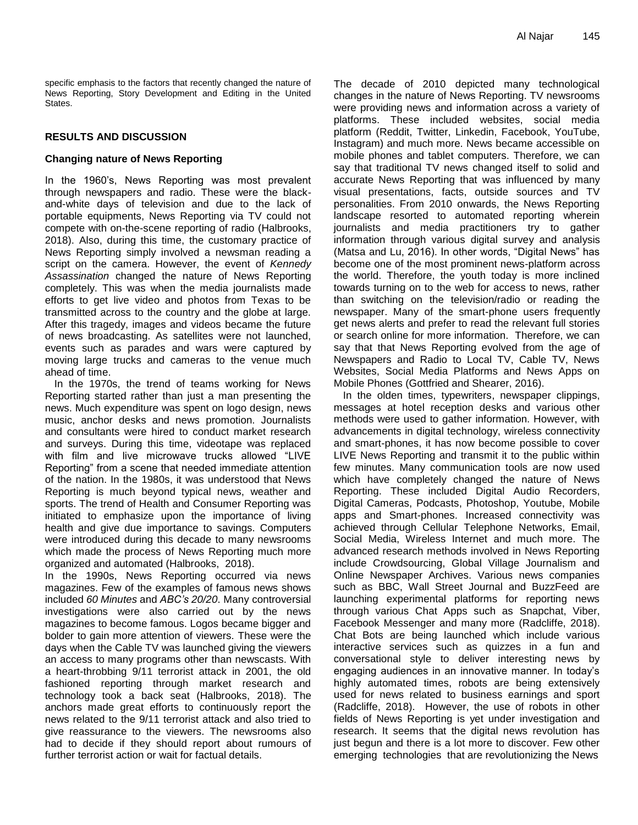specific emphasis to the factors that recently changed the nature of News Reporting, Story Development and Editing in the United States.

### **RESULTS AND DISCUSSION**

## **Changing nature of News Reporting**

In the 1960"s, News Reporting was most prevalent through newspapers and radio. These were the blackand-white days of television and due to the lack of portable equipments, News Reporting via TV could not compete with on-the-scene reporting of radio (Halbrooks, 2018). Also, during this time, the customary practice of News Reporting simply involved a newsman reading a script on the camera. However, the event of *Kennedy Assassination* changed the nature of News Reporting completely. This was when the media journalists made efforts to get live video and photos from Texas to be transmitted across to the country and the globe at large. After this tragedy, images and videos became the future of news broadcasting. As satellites were not launched, events such as parades and wars were captured by moving large trucks and cameras to the venue much ahead of time.

In the 1970s, the trend of teams working for News Reporting started rather than just a man presenting the news. Much expenditure was spent on logo design, news music, anchor desks and news promotion. Journalists and consultants were hired to conduct market research and surveys. During this time, videotape was replaced with film and live microwave trucks allowed "LIVE Reporting" from a scene that needed immediate attention of the nation. In the 1980s, it was understood that News Reporting is much beyond typical news, weather and sports. The trend of Health and Consumer Reporting was initiated to emphasize upon the importance of living health and give due importance to savings. Computers were introduced during this decade to many newsrooms which made the process of News Reporting much more organized and automated (Halbrooks, 2018).

In the 1990s, News Reporting occurred via news magazines. Few of the examples of famous news shows included *60 Minutes* and *ABC's 20/20*. Many controversial investigations were also carried out by the news magazines to become famous. Logos became bigger and bolder to gain more attention of viewers. These were the days when the Cable TV was launched giving the viewers an access to many programs other than newscasts. With a heart-throbbing 9/11 terrorist attack in 2001, the old fashioned reporting through market research and technology took a back seat (Halbrooks, 2018). The anchors made great efforts to continuously report the news related to the 9/11 terrorist attack and also tried to give reassurance to the viewers. The newsrooms also had to decide if they should report about rumours of further terrorist action or wait for factual details.

The decade of 2010 depicted many technological changes in the nature of News Reporting. TV newsrooms were providing news and information across a variety of platforms. These included websites, social media platform (Reddit, Twitter, Linkedin, Facebook, YouTube, Instagram) and much more. News became accessible on mobile phones and tablet computers. Therefore, we can say that traditional TV news changed itself to solid and accurate News Reporting that was influenced by many visual presentations, facts, outside sources and TV personalities. From 2010 onwards, the News Reporting landscape resorted to automated reporting wherein journalists and media practitioners try to gather information through various digital survey and analysis (Matsa and Lu, 2016). In other words, "Digital News" has become one of the most prominent news-platform across the world. Therefore, the youth today is more inclined towards turning on to the web for access to news, rather than switching on the television/radio or reading the newspaper. Many of the smart-phone users frequently get news alerts and prefer to read the relevant full stories or search online for more information. Therefore, we can say that that News Reporting evolved from the age of Newspapers and Radio to Local TV, Cable TV, News Websites, Social Media Platforms and News Apps on Mobile Phones (Gottfried and Shearer, 2016).

In the olden times, typewriters, newspaper clippings, messages at hotel reception desks and various other methods were used to gather information. However, with advancements in digital technology, wireless connectivity and smart-phones, it has now become possible to cover LIVE News Reporting and transmit it to the public within few minutes. Many communication tools are now used which have completely changed the nature of News Reporting. These included Digital Audio Recorders, Digital Cameras, Podcasts, Photoshop, Youtube, Mobile apps and Smart-phones. Increased connectivity was achieved through Cellular Telephone Networks, Email, Social Media, Wireless Internet and much more. The advanced research methods involved in News Reporting include Crowdsourcing, Global Village Journalism and Online Newspaper Archives. Various news companies such as BBC, Wall Street Journal and BuzzFeed are launching experimental platforms for reporting news through various Chat Apps such as Snapchat, Viber, Facebook Messenger and many more (Radcliffe, 2018). Chat Bots are being launched which include various interactive services such as quizzes in a fun and conversational style to deliver interesting news by engaging audiences in an innovative manner. In today"s highly automated times, robots are being extensively used for news related to business earnings and sport (Radcliffe, 2018). However, the use of robots in other fields of News Reporting is yet under investigation and research. It seems that the digital news revolution has just begun and there is a lot more to discover. Few other emerging technologies that are revolutionizing the News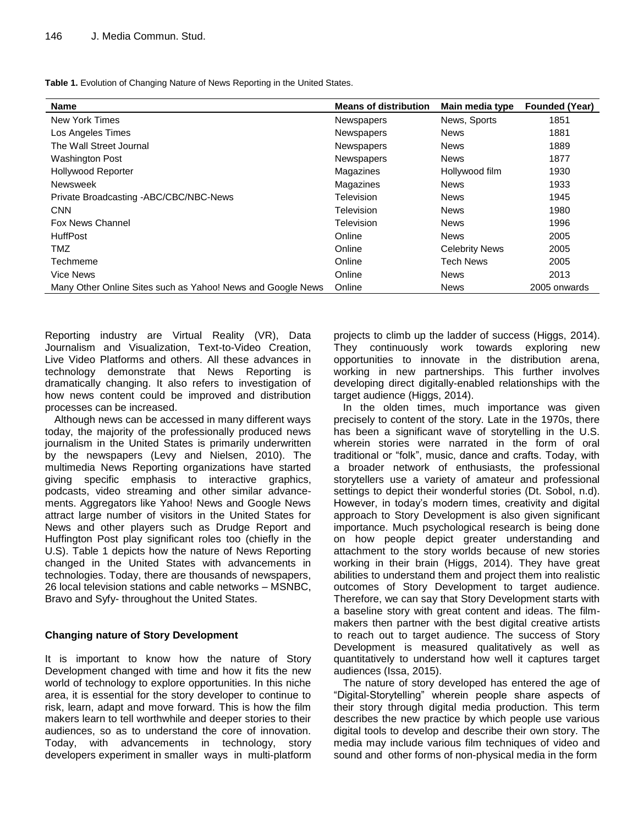**Table 1.** Evolution of Changing Nature of News Reporting in the United States.

| <b>Name</b>                                                 | <b>Means of distribution</b> | Main media type       | <b>Founded (Year)</b> |
|-------------------------------------------------------------|------------------------------|-----------------------|-----------------------|
| New York Times                                              | <b>Newspapers</b>            | News, Sports          | 1851                  |
| Los Angeles Times                                           | <b>Newspapers</b>            | <b>News</b>           | 1881                  |
| The Wall Street Journal                                     | <b>Newspapers</b>            | <b>News</b>           | 1889                  |
| <b>Washington Post</b>                                      | <b>Newspapers</b>            | <b>News</b>           | 1877                  |
| <b>Hollywood Reporter</b>                                   | Magazines                    | Hollywood film        | 1930                  |
| <b>Newsweek</b>                                             | Magazines                    | <b>News</b>           | 1933                  |
| Private Broadcasting -ABC/CBC/NBC-News                      | Television                   | <b>News</b>           | 1945                  |
| <b>CNN</b>                                                  | Television                   | <b>News</b>           | 1980                  |
| Fox News Channel                                            | Television                   | <b>News</b>           | 1996                  |
| <b>HuffPost</b>                                             | Online                       | <b>News</b>           | 2005                  |
| <b>TMZ</b>                                                  | Online                       | <b>Celebrity News</b> | 2005                  |
| Techmeme                                                    | Online                       | <b>Tech News</b>      | 2005                  |
| <b>Vice News</b>                                            | Online                       | <b>News</b>           | 2013                  |
| Many Other Online Sites such as Yahoo! News and Google News | Online                       | <b>News</b>           | 2005 onwards          |

Reporting industry are Virtual Reality (VR), Data Journalism and Visualization, Text-to-Video Creation, Live Video Platforms and others. All these advances in technology demonstrate that News Reporting is dramatically changing. It also refers to investigation of how news content could be improved and distribution processes can be increased.

Although news can be accessed in many different ways today, the majority of the professionally produced news journalism in the United States is primarily underwritten by the newspapers (Levy and Nielsen, 2010). The multimedia News Reporting organizations have started giving specific emphasis to interactive graphics, podcasts, video streaming and other similar advancements. Aggregators like Yahoo! News and Google News attract large number of visitors in the United States for News and other players such as Drudge Report and Huffington Post play significant roles too (chiefly in the U.S). Table 1 depicts how the nature of News Reporting changed in the United States with advancements in technologies. Today, there are thousands of newspapers, 26 local television stations and cable networks – MSNBC, Bravo and Syfy- throughout the United States.

### **Changing nature of Story Development**

It is important to know how the nature of Story Development changed with time and how it fits the new world of technology to explore opportunities. In this niche area, it is essential for the story developer to continue to risk, learn, adapt and move forward. This is how the film makers learn to tell worthwhile and deeper stories to their audiences, so as to understand the core of innovation. Today, with advancements in technology, story developers experiment in smaller ways in multi-platform projects to climb up the ladder of success (Higgs, 2014). They continuously work towards exploring new opportunities to innovate in the distribution arena, working in new partnerships. This further involves developing direct digitally-enabled relationships with the target audience (Higgs, 2014).

In the olden times, much importance was given precisely to content of the story. Late in the 1970s, there has been a significant wave of storytelling in the U.S. wherein stories were narrated in the form of oral traditional or "folk", music, dance and crafts. Today, with a broader network of enthusiasts, the professional storytellers use a variety of amateur and professional settings to depict their wonderful stories (Dt. Sobol, n.d). However, in today"s modern times, creativity and digital approach to Story Development is also given significant importance. Much psychological research is being done on how people depict greater understanding and attachment to the story worlds because of new stories working in their brain (Higgs, 2014). They have great abilities to understand them and project them into realistic outcomes of Story Development to target audience. Therefore, we can say that Story Development starts with a baseline story with great content and ideas. The filmmakers then partner with the best digital creative artists to reach out to target audience. The success of Story Development is measured qualitatively as well as quantitatively to understand how well it captures target audiences (Issa, 2015).

The nature of story developed has entered the age of "Digital-Storytelling" wherein people share aspects of their story through digital media production. This term describes the new practice by which people use various digital tools to develop and describe their own story. The media may include various film techniques of video and sound and other forms of non-physical media in the form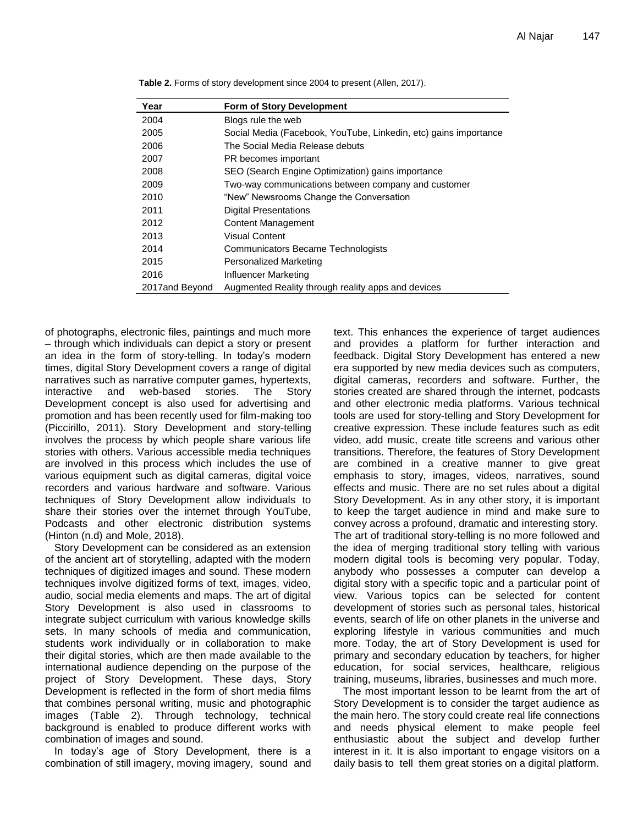| Year           | Form of Story Development                                        |  |
|----------------|------------------------------------------------------------------|--|
| 2004           | Blogs rule the web                                               |  |
| 2005           | Social Media (Facebook, YouTube, Linkedin, etc) gains importance |  |
| 2006           | The Social Media Release debuts                                  |  |
| 2007           | PR becomes important                                             |  |
| 2008           | SEO (Search Engine Optimization) gains importance                |  |
| 2009           | Two-way communications between company and customer              |  |
| 2010           | "New" Newsrooms Change the Conversation                          |  |
| 2011           | <b>Digital Presentations</b>                                     |  |
| 2012           | Content Management                                               |  |
| 2013           | <b>Visual Content</b>                                            |  |
| 2014           | Communicators Became Technologists                               |  |
| 2015           | Personalized Marketing                                           |  |
| 2016           | Influencer Marketing                                             |  |
| 2017and Beyond | Augmented Reality through reality apps and devices               |  |

**Table 2.** Forms of story development since 2004 to present (Allen, 2017).

of photographs, electronic files, paintings and much more – through which individuals can depict a story or present an idea in the form of story-telling. In today"s modern times, digital Story Development covers a range of digital narratives such as narrative computer games, hypertexts, interactive and web-based stories. The Story Development concept is also used for advertising and promotion and has been recently used for film-making too (Piccirillo, 2011). Story Development and story-telling involves the process by which people share various life stories with others. Various accessible media techniques are involved in this process which includes the use of various equipment such as digital cameras, digital voice recorders and various hardware and software. Various techniques of Story Development allow individuals to share their stories over the internet through YouTube, Podcasts and other electronic distribution systems (Hinton (n.d) and Mole, 2018).

Story Development can be considered as an extension of the ancient art of storytelling, adapted with the modern techniques of digitized images and sound. These modern techniques involve digitized forms of text, images, video, audio, social media elements and maps. The art of digital Story Development is also used in classrooms to integrate subject curriculum with various knowledge skills sets. In many schools of media and communication, students work individually or in collaboration to make their digital stories, which are then made available to the international audience depending on the purpose of the project of Story Development. These days, Story Development is reflected in the form of short media films that combines personal writing, music and photographic images (Table 2). Through technology, technical background is enabled to produce different works with combination of images and sound.

In today"s age of Story Development, there is a combination of still imagery, moving imagery, sound and

text. This enhances the experience of target audiences and provides a platform for further interaction and feedback. Digital Story Development has entered a new era supported by new media devices such as computers, digital cameras, recorders and software. Further, the stories created are shared through the internet, podcasts and other electronic media platforms. Various technical tools are used for story-telling and Story Development for creative expression. These include features such as edit video, add music, create title screens and various other transitions. Therefore, the features of Story Development are combined in a creative manner to give great emphasis to story, images, videos, narratives, sound effects and music. There are no set rules about a digital Story Development. As in any other story, it is important to keep the target audience in mind and make sure to convey across a profound, dramatic and interesting story. The art of traditional story-telling is no more followed and the idea of merging traditional story telling with various modern digital tools is becoming very popular. Today, anybody who possesses a computer can develop a digital story with a specific topic and a particular point of view. Various topics can be selected for content development of stories such as personal tales, historical events, search of life on other planets in the universe and exploring lifestyle in various communities and much more. Today, the art of Story Development is used for primary and secondary education by teachers, for higher education, for social services, healthcare, religious training, museums, libraries, businesses and much more.

The most important lesson to be learnt from the art of Story Development is to consider the target audience as the main hero. The story could create real life connections and needs physical element to make people feel enthusiastic about the subject and develop further interest in it. It is also important to engage visitors on a daily basis to tell them great stories on a digital platform.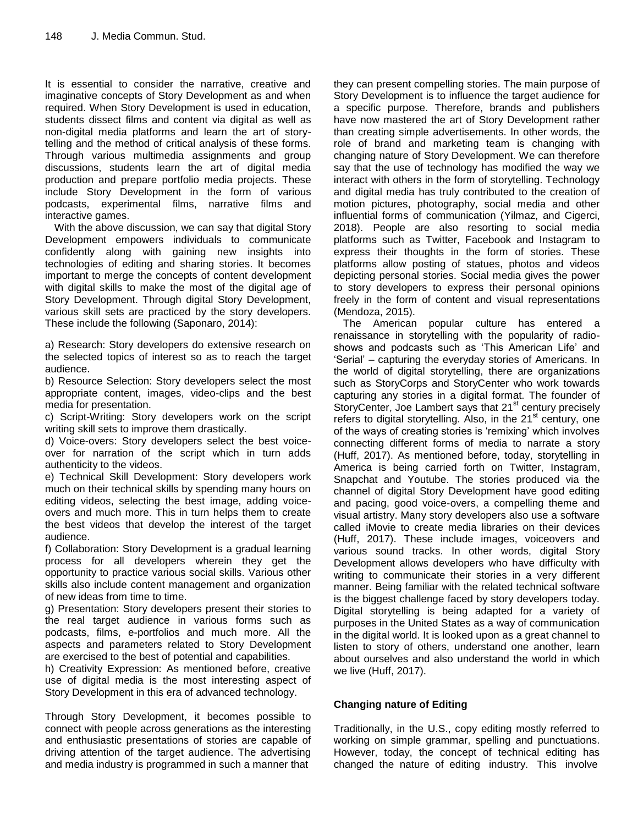It is essential to consider the narrative, creative and imaginative concepts of Story Development as and when required. When Story Development is used in education, students dissect films and content via digital as well as non-digital media platforms and learn the art of storytelling and the method of critical analysis of these forms. Through various multimedia assignments and group discussions, students learn the art of digital media production and prepare portfolio media projects. These include Story Development in the form of various podcasts, experimental films, narrative films and interactive games.

With the above discussion, we can say that digital Story Development empowers individuals to communicate confidently along with gaining new insights into technologies of editing and sharing stories. It becomes important to merge the concepts of content development with digital skills to make the most of the digital age of Story Development. Through digital Story Development, various skill sets are practiced by the story developers. These include the following (Saponaro, 2014):

a) Research: Story developers do extensive research on the selected topics of interest so as to reach the target audience.

b) Resource Selection: Story developers select the most appropriate content, images, video-clips and the best media for presentation.

c) Script-Writing: Story developers work on the script writing skill sets to improve them drastically.

d) Voice-overs: Story developers select the best voiceover for narration of the script which in turn adds authenticity to the videos.

e) Technical Skill Development: Story developers work much on their technical skills by spending many hours on editing videos, selecting the best image, adding voiceovers and much more. This in turn helps them to create the best videos that develop the interest of the target audience.

f) Collaboration: Story Development is a gradual learning process for all developers wherein they get the opportunity to practice various social skills. Various other skills also include content management and organization of new ideas from time to time.

g) Presentation: Story developers present their stories to the real target audience in various forms such as podcasts, films, e-portfolios and much more. All the aspects and parameters related to Story Development are exercised to the best of potential and capabilities.

h) Creativity Expression: As mentioned before, creative use of digital media is the most interesting aspect of Story Development in this era of advanced technology.

Through Story Development, it becomes possible to connect with people across generations as the interesting and enthusiastic presentations of stories are capable of driving attention of the target audience. The advertising and media industry is programmed in such a manner that

they can present compelling stories. The main purpose of Story Development is to influence the target audience for a specific purpose. Therefore, brands and publishers have now mastered the art of Story Development rather than creating simple advertisements. In other words, the role of brand and marketing team is changing with changing nature of Story Development. We can therefore say that the use of technology has modified the way we interact with others in the form of storytelling. Technology and digital media has truly contributed to the creation of motion pictures, photography, social media and other influential forms of communication (Yilmaz, and Cigerci, 2018). People are also resorting to social media platforms such as Twitter, Facebook and Instagram to express their thoughts in the form of stories. These platforms allow posting of statues, photos and videos depicting personal stories. Social media gives the power to story developers to express their personal opinions freely in the form of content and visual representations (Mendoza, 2015).

The American popular culture has entered a renaissance in storytelling with the popularity of radioshows and podcasts such as 'This American Life' and "Serial" – capturing the everyday stories of Americans. In the world of digital storytelling, there are organizations such as StoryCorps and StoryCenter who work towards capturing any stories in a digital format. The founder of StoryCenter, Joe Lambert says that 21<sup>st</sup> century precisely refers to digital storytelling. Also, in the  $21<sup>st</sup>$  century, one of the ways of creating stories is "remixing" which involves connecting different forms of media to narrate a story (Huff, 2017). As mentioned before, today, storytelling in America is being carried forth on Twitter, Instagram, Snapchat and Youtube. The stories produced via the channel of digital Story Development have good editing and pacing, good voice-overs, a compelling theme and visual artistry. Many story developers also use a software called iMovie to create media libraries on their devices (Huff, 2017). These include images, voiceovers and various sound tracks. In other words, digital Story Development allows developers who have difficulty with writing to communicate their stories in a very different manner. Being familiar with the related technical software is the biggest challenge faced by story developers today. Digital storytelling is being adapted for a variety of purposes in the United States as a way of communication in the digital world. It is looked upon as a great channel to listen to story of others, understand one another, learn about ourselves and also understand the world in which we live (Huff, 2017).

# **Changing nature of Editing**

Traditionally, in the U.S., copy editing mostly referred to working on simple grammar, spelling and punctuations. However, today, the concept of technical editing has changed the nature of editing industry. This involve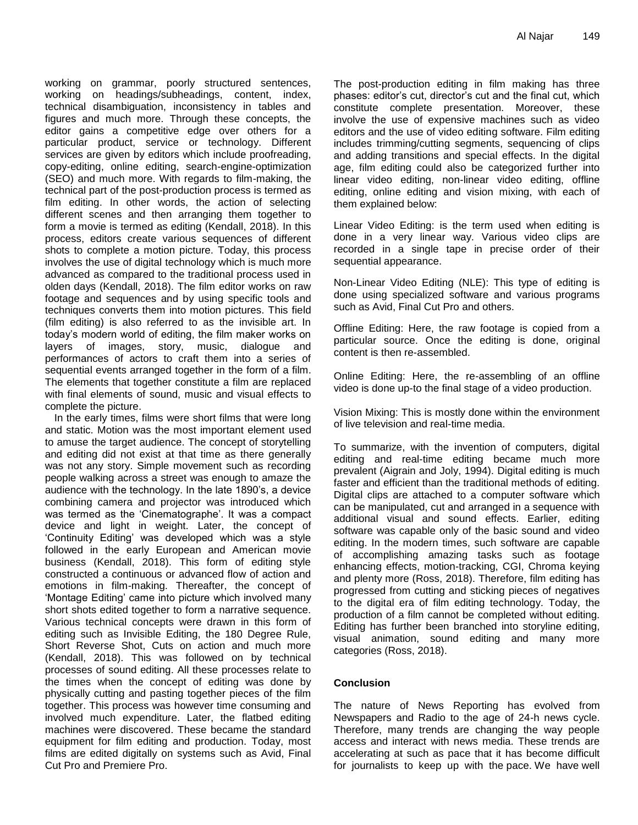working on grammar, poorly structured sentences, working on headings/subheadings, content, index, technical disambiguation, inconsistency in tables and figures and much more. Through these concepts, the editor gains a competitive edge over others for a particular product, service or technology. Different services are given by editors which include proofreading, copy-editing, online editing, search-engine-optimization (SEO) and much more. With regards to film-making, the technical part of the post-production process is termed as film editing. In other words, the action of selecting different scenes and then arranging them together to form a movie is termed as editing (Kendall, 2018). In this process, editors create various sequences of different shots to complete a motion picture. Today, this process involves the use of digital technology which is much more advanced as compared to the traditional process used in olden days (Kendall, 2018). The film editor works on raw footage and sequences and by using specific tools and techniques converts them into motion pictures. This field (film editing) is also referred to as the invisible art. In today"s modern world of editing, the film maker works on layers of images, story, music, dialogue and performances of actors to craft them into a series of sequential events arranged together in the form of a film. The elements that together constitute a film are replaced with final elements of sound, music and visual effects to complete the picture.

In the early times, films were short films that were long and static. Motion was the most important element used to amuse the target audience. The concept of storytelling and editing did not exist at that time as there generally was not any story. Simple movement such as recording people walking across a street was enough to amaze the audience with the technology. In the late 1890"s, a device combining camera and projector was introduced which was termed as the 'Cinematographe'. It was a compact device and light in weight. Later, the concept of "Continuity Editing" was developed which was a style followed in the early European and American movie business (Kendall, 2018). This form of editing style constructed a continuous or advanced flow of action and emotions in film-making. Thereafter, the concept of "Montage Editing" came into picture which involved many short shots edited together to form a narrative sequence. Various technical concepts were drawn in this form of editing such as Invisible Editing, the 180 Degree Rule, Short Reverse Shot, Cuts on action and much more (Kendall, 2018). This was followed on by technical processes of sound editing. All these processes relate to the times when the concept of editing was done by physically cutting and pasting together pieces of the film together. This process was however time consuming and involved much expenditure. Later, the flatbed editing machines were discovered. These became the standard equipment for film editing and production. Today, most films are edited digitally on systems such as Avid, Final Cut Pro and Premiere Pro.

The post-production editing in film making has three phases: editor"s cut, director"s cut and the final cut, which constitute complete presentation. Moreover, these involve the use of expensive machines such as video editors and the use of video editing software. Film editing includes trimming/cutting segments, sequencing of clips and adding transitions and special effects. In the digital age, film editing could also be categorized further into linear video editing, non-linear video editing, offline editing, online editing and vision mixing, with each of them explained below:

Linear Video Editing: is the term used when editing is done in a very linear way. Various video clips are recorded in a single tape in precise order of their sequential appearance.

Non-Linear Video Editing (NLE): This type of editing is done using specialized software and various programs such as Avid, Final Cut Pro and others.

Offline Editing: Here, the raw footage is copied from a particular source. Once the editing is done, original content is then re-assembled.

Online Editing: Here, the re-assembling of an offline video is done up-to the final stage of a video production.

Vision Mixing: This is mostly done within the environment of live television and real-time media.

To summarize, with the invention of computers, digital editing and real-time editing became much more prevalent (Aigrain and Joly, 1994). Digital editing is much faster and efficient than the traditional methods of editing. Digital clips are attached to a computer software which can be manipulated, cut and arranged in a sequence with additional visual and sound effects. Earlier, editing software was capable only of the basic sound and video editing. In the modern times, such software are capable of accomplishing amazing tasks such as footage enhancing effects, motion-tracking, CGI, Chroma keying and plenty more (Ross, 2018). Therefore, film editing has progressed from cutting and sticking pieces of negatives to the digital era of film editing technology. Today, the production of a film cannot be completed without editing. Editing has further been branched into storyline editing, visual animation, sound editing and many more categories (Ross, 2018).

### **Conclusion**

The nature of News Reporting has evolved from Newspapers and Radio to the age of 24-h news cycle. Therefore, many trends are changing the way people access and interact with news media. These trends are accelerating at such as pace that it has become difficult for journalists to keep up with the pace. We have well